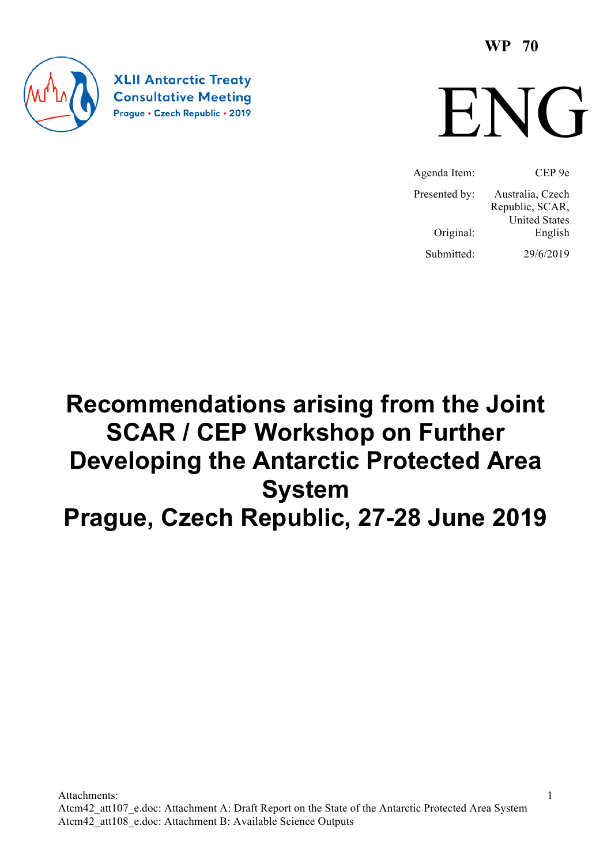**WP 70**



**XLII Antarctic Treaty Consultative Meeting** Prague · Czech Republic · 2019



Agenda Item: CEP 9e Presented by: Australia, Czech Republic, SCAR, United States Original: English Submitted: 29/6/2019

# **Recommendations arising from the Joint SCAR / CEP Workshop on Further Developing the Antarctic Protected Area System Prague, Czech Republic, 27-28 June 2019**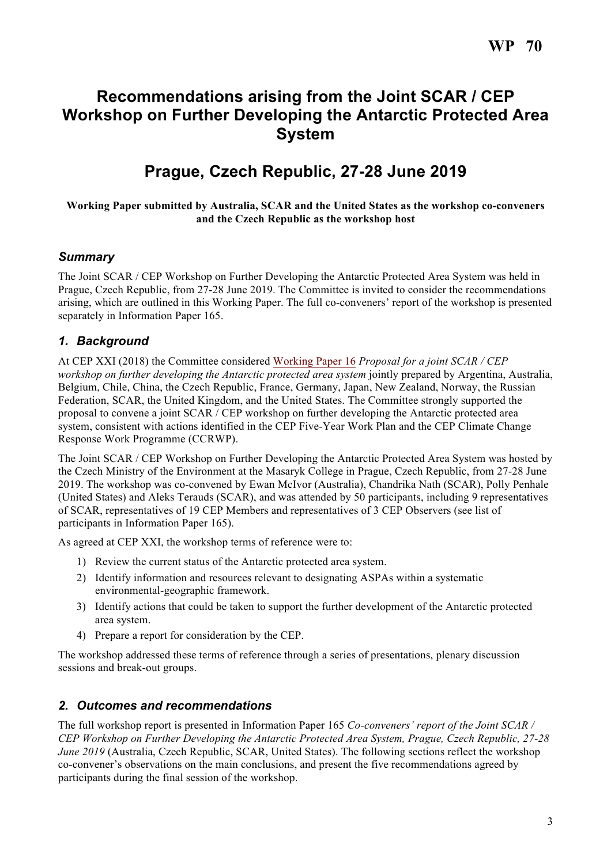# **Recommendations arising from the Joint SCAR / CEP Workshop on Further Developing the Antarctic Protected Area System**

# **Prague, Czech Republic, 27-28 June 2019**

### **Working Paper submitted by Australia, SCAR and the United States as the workshop co-conveners and the Czech Republic as the workshop host**

## *Summary*

The Joint SCAR / CEP Workshop on Further Developing the Antarctic Protected Area System was held in Prague, Czech Republic, from 27-28 June 2019. The Committee is invited to consider the recommendations arising, which are outlined in this Working Paper. The full co-conveners' report of the workshop is presented separately in Information Paper 165.

# *1. Background*

At CEP XXI (2018) the Committee considered Working Paper 16 *Proposal for a joint SCAR / CEP workshop on further developing the Antarctic protected area system* jointly prepared by Argentina, Australia, Belgium, Chile, China, the Czech Republic, France, Germany, Japan, New Zealand, Norway, the Russian Federation, SCAR, the United Kingdom, and the United States. The Committee strongly supported the proposal to convene a joint SCAR / CEP workshop on further developing the Antarctic protected area system, consistent with actions identified in the CEP Five-Year Work Plan and the CEP Climate Change Response Work Programme (CCRWP).

The Joint SCAR / CEP Workshop on Further Developing the Antarctic Protected Area System was hosted by the Czech Ministry of the Environment at the Masaryk College in Prague, Czech Republic, from 27-28 June 2019. The workshop was co-convened by Ewan McIvor (Australia), Chandrika Nath (SCAR), Polly Penhale (United States) and Aleks Terauds (SCAR), and was attended by 50 participants, including 9 representatives of SCAR, representatives of 19 CEP Members and representatives of 3 CEP Observers (see list of participants in Information Paper 165).

As agreed at CEP XXI, the workshop terms of reference were to:

- 1) Review the current status of the Antarctic protected area system.
- 2) Identify information and resources relevant to designating ASPAs within a systematic environmental-geographic framework.
- 3) Identify actions that could be taken to support the further development of the Antarctic protected area system.
- 4) Prepare a report for consideration by the CEP.

The workshop addressed these terms of reference through a series of presentations, plenary discussion sessions and break-out groups.

## *2. Outcomes and recommendations*

The full workshop report is presented in Information Paper 165 *Co-conveners' report of the Joint SCAR / CEP Workshop on Further Developing the Antarctic Protected Area System, Prague, Czech Republic, 27-28 June 2019* (Australia, Czech Republic, SCAR, United States). The following sections reflect the workshop co-convener's observations on the main conclusions, and present the five recommendations agreed by participants during the final session of the workshop.